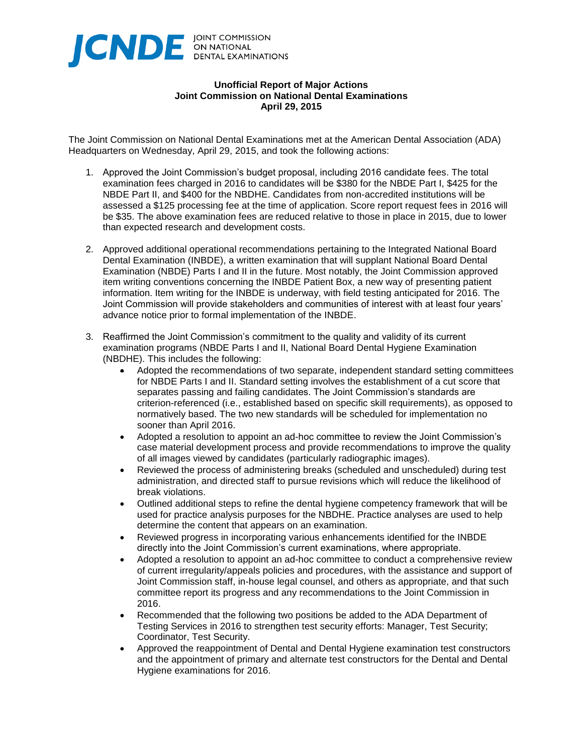

## **Unofficial Report of Major Actions Joint Commission on National Dental Examinations April 29, 2015**

The Joint Commission on National Dental Examinations met at the American Dental Association (ADA) Headquarters on Wednesday, April 29, 2015, and took the following actions:

- 1. Approved the Joint Commission's budget proposal, including 2016 candidate fees. The total examination fees charged in 2016 to candidates will be \$380 for the NBDE Part I, \$425 for the NBDE Part II, and \$400 for the NBDHE. Candidates from non-accredited institutions will be assessed a \$125 processing fee at the time of application. Score report request fees in 2016 will be \$35. The above examination fees are reduced relative to those in place in 2015, due to lower than expected research and development costs.
- 2. Approved additional operational recommendations pertaining to the Integrated National Board Dental Examination (INBDE), a written examination that will supplant National Board Dental Examination (NBDE) Parts I and II in the future. Most notably, the Joint Commission approved item writing conventions concerning the INBDE Patient Box, a new way of presenting patient information. Item writing for the INBDE is underway, with field testing anticipated for 2016. The Joint Commission will provide stakeholders and communities of interest with at least four years' advance notice prior to formal implementation of the INBDE.
- 3. Reaffirmed the Joint Commission's commitment to the quality and validity of its current examination programs (NBDE Parts I and II, National Board Dental Hygiene Examination (NBDHE). This includes the following:
	- Adopted the recommendations of two separate, independent standard setting committees for NBDE Parts I and II. Standard setting involves the establishment of a cut score that separates passing and failing candidates. The Joint Commission's standards are criterion-referenced (i.e., established based on specific skill requirements), as opposed to normatively based. The two new standards will be scheduled for implementation no sooner than April 2016.
	- Adopted a resolution to appoint an ad-hoc committee to review the Joint Commission's case material development process and provide recommendations to improve the quality of all images viewed by candidates (particularly radiographic images).
	- Reviewed the process of administering breaks (scheduled and unscheduled) during test administration, and directed staff to pursue revisions which will reduce the likelihood of break violations.
	- Outlined additional steps to refine the dental hygiene competency framework that will be used for practice analysis purposes for the NBDHE. Practice analyses are used to help determine the content that appears on an examination.
	- Reviewed progress in incorporating various enhancements identified for the INBDE directly into the Joint Commission's current examinations, where appropriate.
	- Adopted a resolution to appoint an ad-hoc committee to conduct a comprehensive review of current irregularity/appeals policies and procedures, with the assistance and support of Joint Commission staff, in-house legal counsel, and others as appropriate, and that such committee report its progress and any recommendations to the Joint Commission in 2016.
	- Recommended that the following two positions be added to the ADA Department of Testing Services in 2016 to strengthen test security efforts: Manager, Test Security; Coordinator, Test Security.
	- Approved the reappointment of Dental and Dental Hygiene examination test constructors and the appointment of primary and alternate test constructors for the Dental and Dental Hygiene examinations for 2016.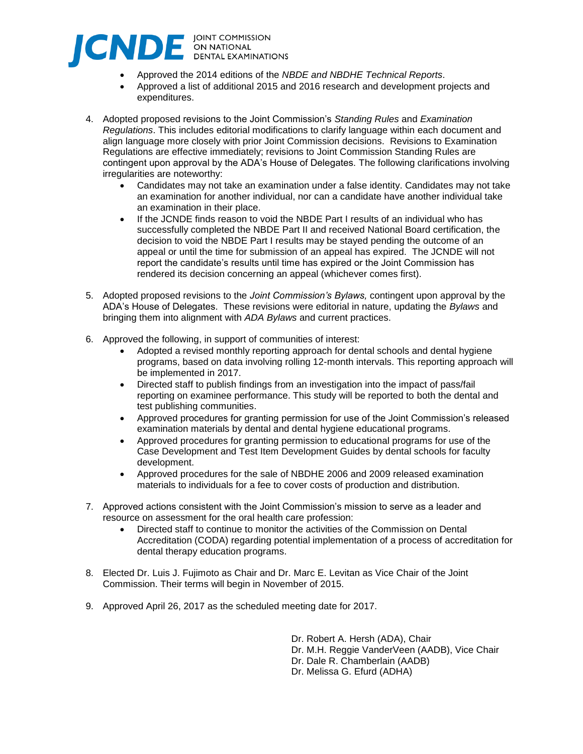

- Approved the 2014 editions of the *NBDE and NBDHE Technical Reports*.
- Approved a list of additional 2015 and 2016 research and development projects and expenditures.
- 4. Adopted proposed revisions to the Joint Commission's *Standing Rules* and *Examination Regulations*. This includes editorial modifications to clarify language within each document and align language more closely with prior Joint Commission decisions. Revisions to Examination Regulations are effective immediately; revisions to Joint Commission Standing Rules are contingent upon approval by the ADA's House of Delegates. The following clarifications involving irregularities are noteworthy:
	- Candidates may not take an examination under a false identity. Candidates may not take an examination for another individual, nor can a candidate have another individual take an examination in their place.
	- If the JCNDE finds reason to void the NBDE Part I results of an individual who has successfully completed the NBDE Part II and received National Board certification, the decision to void the NBDE Part I results may be stayed pending the outcome of an appeal or until the time for submission of an appeal has expired. The JCNDE will not report the candidate's results until time has expired or the Joint Commission has rendered its decision concerning an appeal (whichever comes first).
- 5. Adopted proposed revisions to the *Joint Commission's Bylaws,* contingent upon approval by the ADA's House of Delegates. These revisions were editorial in nature, updating the *Bylaws* and bringing them into alignment with *ADA Bylaws* and current practices.
- 6. Approved the following, in support of communities of interest:
	- Adopted a revised monthly reporting approach for dental schools and dental hygiene programs, based on data involving rolling 12-month intervals. This reporting approach will be implemented in 2017.
	- Directed staff to publish findings from an investigation into the impact of pass/fail reporting on examinee performance. This study will be reported to both the dental and test publishing communities.
	- Approved procedures for granting permission for use of the Joint Commission's released examination materials by dental and dental hygiene educational programs.
	- Approved procedures for granting permission to educational programs for use of the Case Development and Test Item Development Guides by dental schools for faculty development.
	- Approved procedures for the sale of NBDHE 2006 and 2009 released examination materials to individuals for a fee to cover costs of production and distribution.
- 7. Approved actions consistent with the Joint Commission's mission to serve as a leader and resource on assessment for the oral health care profession:
	- Directed staff to continue to monitor the activities of the Commission on Dental Accreditation (CODA) regarding potential implementation of a process of accreditation for dental therapy education programs.
- 8. Elected Dr. Luis J. Fujimoto as Chair and Dr. Marc E. Levitan as Vice Chair of the Joint Commission. Their terms will begin in November of 2015.
- 9. Approved April 26, 2017 as the scheduled meeting date for 2017.

Dr. Robert A. Hersh (ADA), Chair Dr. M.H. Reggie VanderVeen (AADB), Vice Chair Dr. Dale R. Chamberlain (AADB) Dr. Melissa G. Efurd (ADHA)